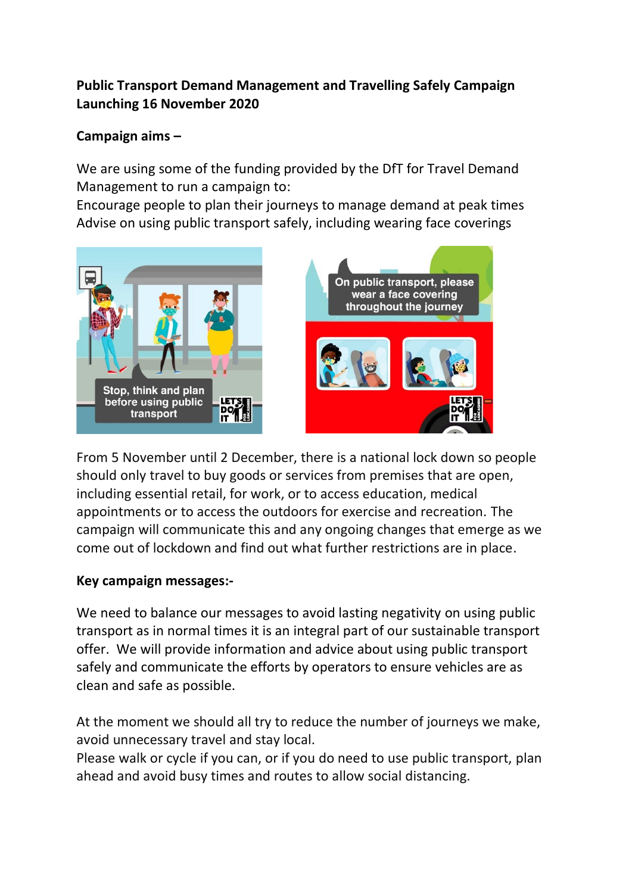# **Public Transport Demand Management and Travelling Safely Campaign Launching 16 November 2020**

## **Campaign aims –**

We are using some of the funding provided by the DfT for Travel Demand Management to run a campaign to:

Encourage people to plan their journeys to manage demand at peak times Advise on using public transport safely, including wearing face coverings



From 5 November until 2 December, there is a national lock down so people should only travel to buy goods or services from premises that are open, including essential retail, for work, or to access education, medical appointments or to access the outdoors for exercise and recreation. The campaign will communicate this and any ongoing changes that emerge as we come out of lockdown and find out what further restrictions are in place.

#### **Key campaign messages:-**

We need to balance our messages to avoid lasting negativity on using public transport as in normal times it is an integral part of our sustainable transport offer. We will provide information and advice about using public transport safely and communicate the efforts by operators to ensure vehicles are as clean and safe as possible.

At the moment we should all try to reduce the number of journeys we make, avoid unnecessary travel and stay local.

Please walk or cycle if you can, or if you do need to use public transport, plan ahead and avoid busy times and routes to allow social distancing.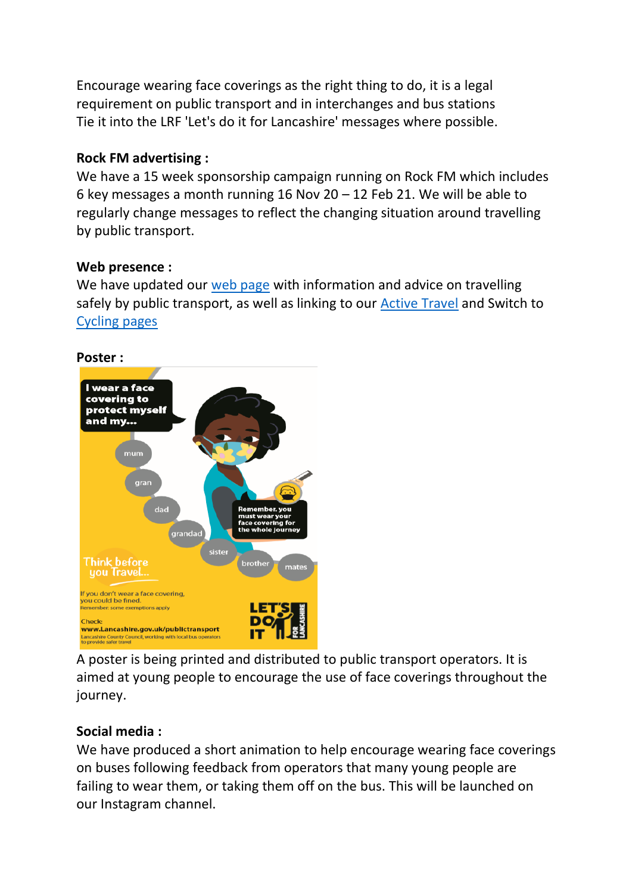Encourage wearing face coverings as the right thing to do, it is a legal requirement on public transport and in interchanges and bus stations Tie it into the LRF 'Let's do it for Lancashire' messages where possible.

## **Rock FM advertising :**

We have a 15 week sponsorship campaign running on Rock FM which includes 6 key messages a month running 16 Nov 20 – 12 Feb 21. We will be able to regularly change messages to reflect the changing situation around travelling by public transport.

## **Web presence :**

We have updated our [web page](https://www.lancashire.gov.uk/coronavirus-updates/public-transport/) with information and advice on travelling safely by public transport, as well as linking to our [Active Travel](https://www.lancashire.gov.uk/roads-parking-and-travel/active-travel/) and Switch to [Cycling pages](https://www.lancashire.gov.uk/cycling)



A poster is being printed and distributed to public transport operators. It is aimed at young people to encourage the use of face coverings throughout the journey.

# **Social media :**

We have produced a short animation to help encourage wearing face coverings on buses following feedback from operators that many young people are failing to wear them, or taking them off on the bus. This will be launched on our Instagram channel.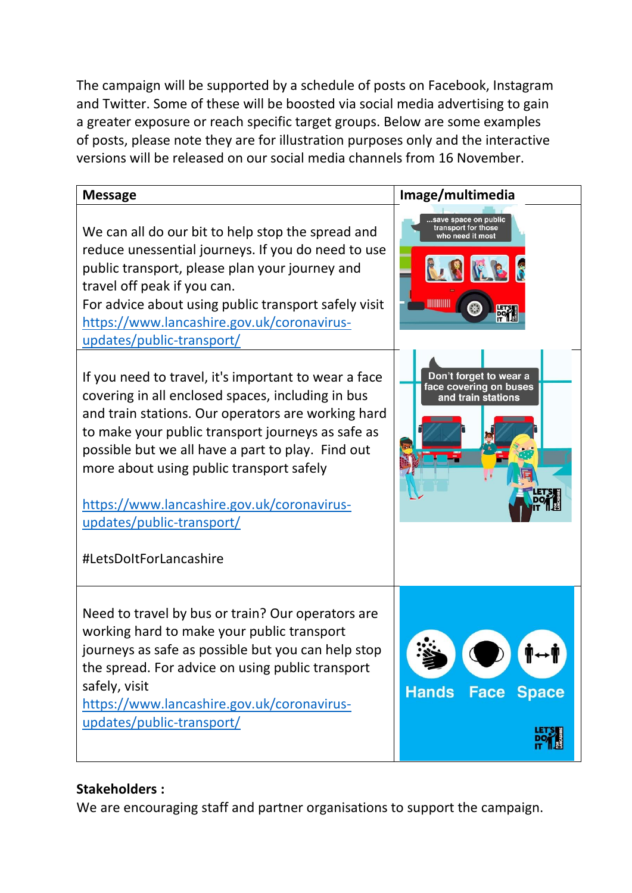The campaign will be supported by a schedule of posts on Facebook, Instagram and Twitter. Some of these will be boosted via social media advertising to gain a greater exposure or reach specific target groups. Below are some examples of posts, please note they are for illustration purposes only and the interactive versions will be released on our social media channels from 16 November.



#### **Stakeholders :**

We are encouraging staff and partner organisations to support the campaign.